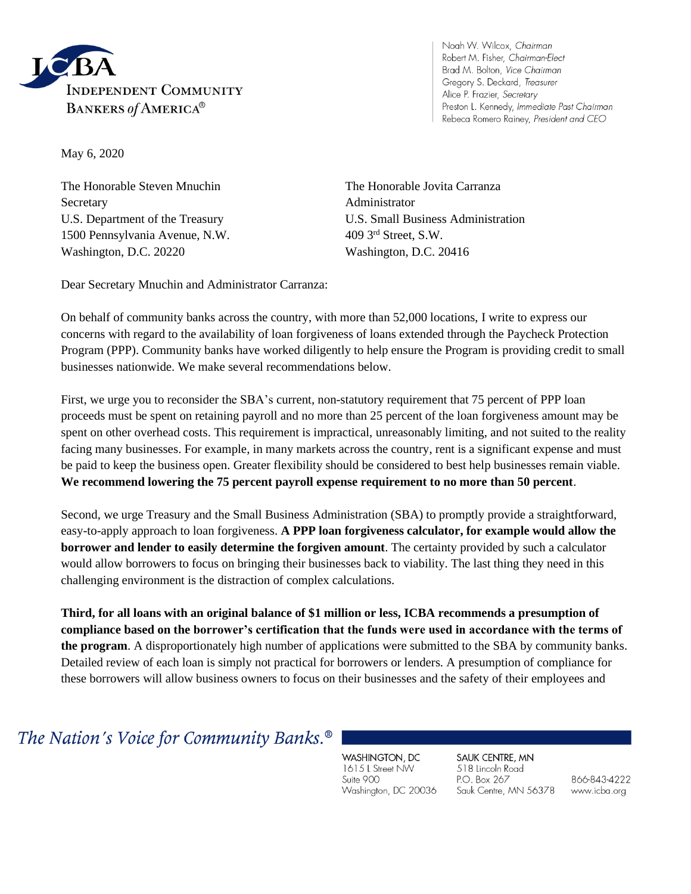

Noah W. Wilcox, Chairman Robert M. Fisher, Chairman-Elect Brad M. Bolton, Vice Chairman Gregory S. Deckard, Treasurer Alice P. Frazier, Secretary Preston L. Kennedy, Immediate Past Chairman Rebeca Romero Rainey, President and CEO

May 6, 2020

The Honorable Steven Mnuchin The Honorable Jovita Carranza Secretary **Administrator** Administrator 1500 Pennsylvania Avenue, N.W. 409 3rd Street, S.W. Washington, D.C. 20220 Washington, D.C. 20416

U.S. Department of the Treasury U.S. Small Business Administration

Dear Secretary Mnuchin and Administrator Carranza:

On behalf of community banks across the country, with more than 52,000 locations, I write to express our concerns with regard to the availability of loan forgiveness of loans extended through the Paycheck Protection Program (PPP). Community banks have worked diligently to help ensure the Program is providing credit to small businesses nationwide. We make several recommendations below.

First, we urge you to reconsider the SBA's current, non-statutory requirement that 75 percent of PPP loan proceeds must be spent on retaining payroll and no more than 25 percent of the loan forgiveness amount may be spent on other overhead costs. This requirement is impractical, unreasonably limiting, and not suited to the reality facing many businesses. For example, in many markets across the country, rent is a significant expense and must be paid to keep the business open. Greater flexibility should be considered to best help businesses remain viable. **We recommend lowering the 75 percent payroll expense requirement to no more than 50 percent**.

Second, we urge Treasury and the Small Business Administration (SBA) to promptly provide a straightforward, easy-to-apply approach to loan forgiveness. **A PPP loan forgiveness calculator, for example would allow the borrower and lender to easily determine the forgiven amount**. The certainty provided by such a calculator would allow borrowers to focus on bringing their businesses back to viability. The last thing they need in this challenging environment is the distraction of complex calculations.

**Third, for all loans with an original balance of \$1 million or less, ICBA recommends a presumption of compliance based on the borrower's certification that the funds were used in accordance with the terms of the program**. A disproportionately high number of applications were submitted to the SBA by community banks. Detailed review of each loan is simply not practical for borrowers or lenders. A presumption of compliance for these borrowers will allow business owners to focus on their businesses and the safety of their employees and

The Nation's Voice for Community Banks.<sup>®</sup>

WASHINGTON, DC 1615 L Street NW Suite 900 Washington, DC 20036 SAUK CENTRE, MN 518 Lincoln Road P.O. Box 267 Sauk Centre, MN 56378

866-843-4222 www.icba.org